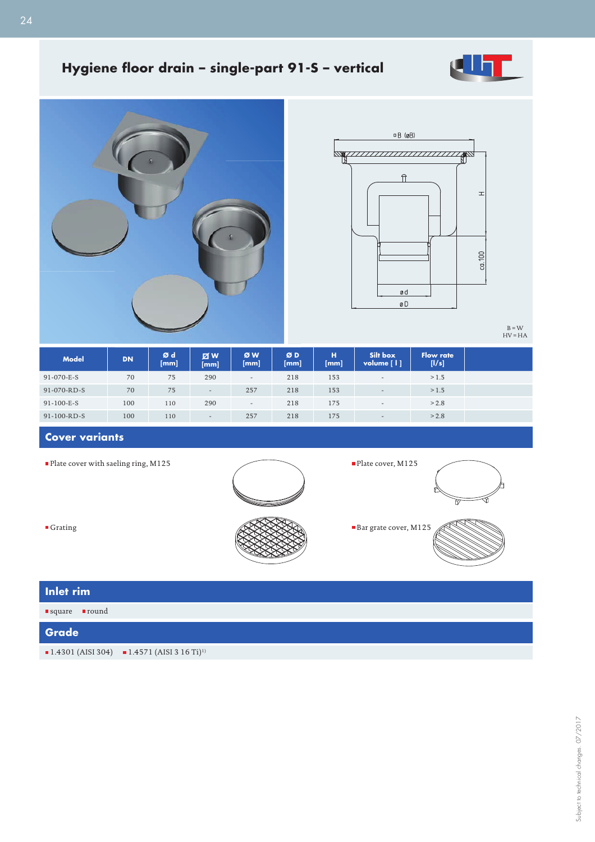

## Hygiene floor drain - single-part 91-S - vertical





Plate cover, M125

B = W HV = HA

| <b>Model</b>        | <b>DN</b> | Ød<br>[mm] | <b>Z</b> W<br>[mm]       | ØW<br>[mm]               | ØD<br>[mm] | / H)<br>[mm] | Silt box<br>volume [1]   | <b>Flow rate</b><br>[1/s] |
|---------------------|-----------|------------|--------------------------|--------------------------|------------|--------------|--------------------------|---------------------------|
| 91-070-E-S          | 70        | 75         | 290                      | $\overline{\phantom{a}}$ | 218        | 153          | $-$                      | >1.5                      |
| 91-070-RD-S         | 70        | 75         | $\overline{\phantom{0}}$ | 257                      | 218        | 153          | $\overline{\phantom{a}}$ | >1.5                      |
| $91 - 100 - E - S$  | 100       | 110        | 290                      | $\overline{\phantom{a}}$ | 218        | 175          | $\overline{\phantom{0}}$ | > 2.8                     |
| $91 - 100 - RD - S$ | 100       | 110        | $\overline{\phantom{a}}$ | 257                      | 218        | 175          | $\sim$                   | > 2.8                     |

## **Cover variants**

 $\blacksquare$  <br> Plate cover with saeling ring, M125





| Inlet rim                                  |                                                                                     |  |  |  |  |  |
|--------------------------------------------|-------------------------------------------------------------------------------------|--|--|--|--|--|
| $\blacksquare$ square $\blacksquare$ round |                                                                                     |  |  |  |  |  |
| <b>Grade</b>                               |                                                                                     |  |  |  |  |  |
|                                            | $\blacksquare$ 1.4301 (AISI 304) $\blacksquare$ 1.4571 (AISI 3 16 Ti) <sup>1)</sup> |  |  |  |  |  |